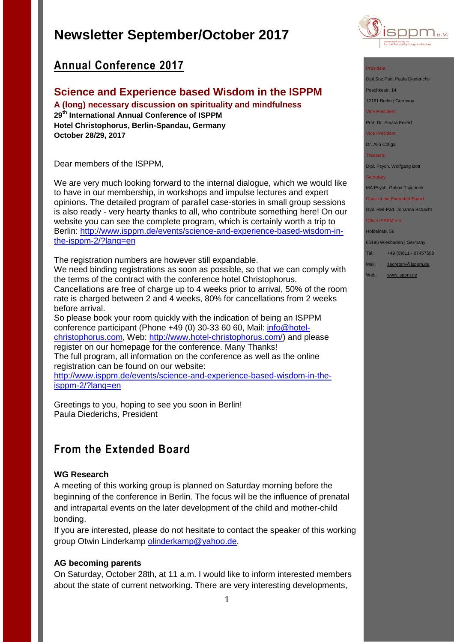

# **Annual Conference 2017**

## **Science and Experience based Wisdom in the ISPPM**

**A (long) necessary discussion on spirituality and mindfulness 29th International Annual Conference of ISPPM Hotel Christophorus, Berlin-Spandau, Germany October 28/29, 2017**

Dear members of the ISPPM,

We are very much looking forward to the internal dialogue, which we would like to have in our membership, in workshops and impulse lectures and expert opinions. The detailed program of parallel case-stories in small group sessions is also ready - very hearty thanks to all, who contribute something here! On our website you can see the complete program, which is certainly worth a trip to Berlin: [http://www.isppm.de/events/science-and-experience-based-wisdom-in](http://www.isppm.de/events/science-and-experience-based-wisdom-in-the-isppm-2/?lang=en)[the-isppm-2/?lang=en](http://www.isppm.de/events/science-and-experience-based-wisdom-in-the-isppm-2/?lang=en)

The registration numbers are however still expandable.

We need binding registrations as soon as possible, so that we can comply with the terms of the contract with the conference hotel Christophorus.

Cancellations are free of charge up to 4 weeks prior to arrival, 50% of the room rate is charged between 2 and 4 weeks, 80% for cancellations from 2 weeks before arrival.

So please book your room quickly with the indication of being an ISPPM conference participant (Phone +49 (0) 30-33 60 60, Mail: [info@hotel](mailto:info@hotel-christophorus.com)[christophorus.com,](mailto:info@hotel-christophorus.com) Web: [http://www.hotel-christophorus.com/\)](http://www.hotel-christophorus.com/) and please register on our homepage for the conference. Many Thanks! The full program, all information on the conference as well as the online registration can be found on our website:

[http://www.isppm.de/events/science-and-experience-based-wisdom-in-the](http://www.isppm.de/events/science-and-experience-based-wisdom-in-the-isppm-2/?lang=en)[isppm-2/?lang=en](http://www.isppm.de/events/science-and-experience-based-wisdom-in-the-isppm-2/?lang=en)

Greetings to you, hoping to see you soon in Berlin! Paula Diederichs, President

# **From the Extended Board**

## **WG Research**

A meeting of this working group is planned on Saturday morning before the beginning of the conference in Berlin. The focus will be the influence of prenatal and intrapartal events on the later development of the child and mother-child bonding.

If you are interested, please do not hesitate to contact the speaker of this working group Otwin Linderkamp [olinderkamp@yahoo.de.](mailto:olinderkamp@yahoo.de)

## **AG becoming parents**

On Saturday, October 28th, at 11 a.m. I would like to inform interested members about the state of current networking. There are very interesting developments,

#### President

Dipl.Soz.Päd. Paula Diederichs

Peschkestr. 14

12161 Berlin | Germany

Vice President

Prof. Dr. Amara Eckert

Vice President

Dr. Alin Cotiga

Treasurer

Dipl. Psych. Wolfgang Bott

**Secretary** 

MA Psych. Galina Tcyganok

### Chair of the Extended Board

Dipl. Heil-Päd. Johanna Schacht Office ISPPM e.V.

## Holbeinstr. 56

65195 Wiesbaden | Germany

- Tel: +49 (0)611 97457598
- Mail: [secretary@isppm.de](mailto:secretary@isppm.de)
- Web: [www.isppm.de](http://www.isppm.de/)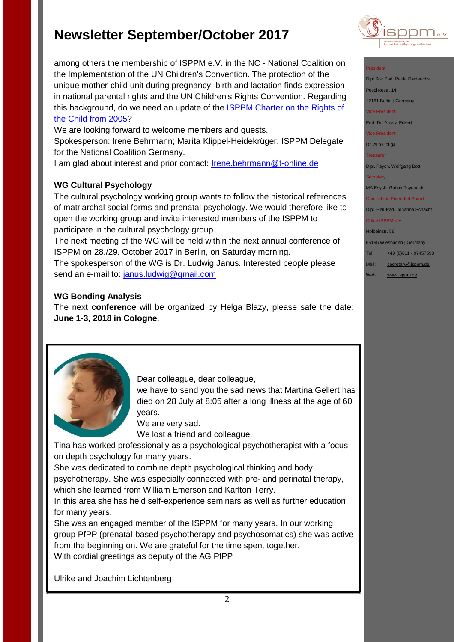among others the membership of ISPPM e.V. in the NC - National Coalition on the Implementation of the UN Children's Convention. The protection of the unique mother-child unit during pregnancy, birth and lactation finds expression in national parental rights and the UN Children's Rights Convention. Regarding this background, do we need an update of the **ISPPM Charter on the Rights of** [the Child from 2005?](http://www.isppm.de/en/wp-content/uploads/2014/10/Charta_e.pdf)

We are looking forward to welcome members and guests.

Spokesperson: Irene Behrmann; Marita Klippel-Heidekrüger, ISPPM Delegate for the National Coalition Germany.

I am glad about interest and prior contact: [Irene.behrmann@t-online.de](mailto:Irene.behrmann@t-online.de)

## **WG Cultural Psychology**

The cultural psychology working group wants to follow the historical references of matriarchal social forms and prenatal psychology. We would therefore like to open the working group and invite interested members of the ISPPM to participate in the cultural psychology group.

The next meeting of the WG will be held within the next annual conference of ISPPM on 28./29. October 2017 in Berlin, on Saturday morning. The spokesperson of the WG is Dr. Ludwig Janus. Interested people please send an e-mail to: [janus.ludwig@gmail.com](mailto:janus.ludwig@gmail.com)

## **WG Bonding Analysis**

The next **conference** will be organized by Helga Blazy, please safe the date: **June 1-3, 2018 in Cologne**.



Dear colleague, dear colleague,

we have to send you the sad news that Martina Gellert has died on 28 July at 8:05 after a long illness at the age of 60 years.

We are very sad.

We lost a friend and colleague.

Tina has worked professionally as a psychological psychotherapist with a focus on depth psychology for many years.

She was dedicated to combine depth psychological thinking and body psychotherapy. She was especially connected with pre- and perinatal therapy, which she learned from William Emerson and Karlton Terry.

In this area she has held self-experience seminars as well as further education for many years.

She was an engaged member of the ISPPM for many years. In our working group PfPP (prenatal-based psychotherapy and psychosomatics) she was active from the beginning on. We are grateful for the time spent together. With cordial greetings as deputy of the AG PfPP

Ulrike and Joachim Lichtenberg



### President

Dipl.Soz.Päd. Paula Diederio

Peschkestr, 14

12161 Berlin | Germany

vice President

Prof. Dr. Amara Eckert

Vice President

Dr. Alin Cotiga

Treasurer

Dipl. Psych. Wolfgang Bott

MA Psych. Galina Tcyganok

Chair of the Extended Board Dipl. Heil-Päd. Johanna Schacht

Office ISPPM e.V.

Holbeinstr. 56

65195 Wiesbaden | Germany Tel: +49 (0)611 - 97457598

Mail: [secretary@isppm.de](mailto:secretary@isppm.de)

Web: [www.isppm.de](http://www.isppm.de/)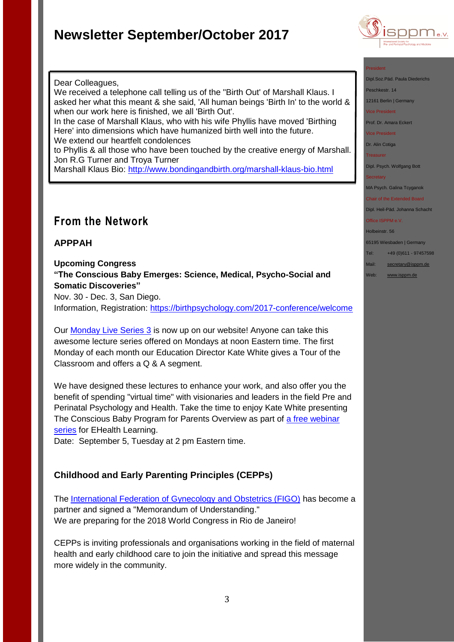

#### President

Dipl.Soz.Päd. Paula Diederichs

Peschkestr. 14

12161 Berlin | Germany

Vice President

Prof. Dr. Amara Eckert

Vice President

Dr. Alin Cotiga

Treasurer

Dipl. Psych. Wolfgang Bott

**Secretary** 

MA Psych. Galina Tcyganok

Chair of the Extended Board Dipl. Heil-Päd. Johanna Schacht Office ISPPM e.V.

## Holbeinstr. 56

65195 Wiesbaden | Germany

Tel: +49 (0)611 - 97457598

- Mail: [secretary@isppm.de](mailto:secretary@isppm.de)
- Web: [www.isppm.de](http://www.isppm.de/)

### Dear Colleagues,

We received a telephone call telling us of the "Birth Out' of Marshall Klaus. I asked her what this meant & she said, 'All human beings 'Birth In' to the world & when our work here is finished, we all 'Birth Out'.

In the case of Marshall Klaus, who with his wife Phyllis have moved 'Birthing Here' into dimensions which have humanized birth well into the future. We extend our heartfelt condolences

to Phyllis & all those who have been touched by the creative energy of Marshall. Jon R.G Turner and Troya Turner

Marshall Klaus Bio:<http://www.bondingandbirth.org/marshall-klaus-bio.html>

# **From the Network**

## **APPPAH**

### **Upcoming Congress**

**"The Conscious Baby Emerges: Science, Medical, Psycho-Social and Somatic Discoveries"**

Nov. 30 - Dec. 3, San Diego.

Information, Registration:<https://birthpsychology.com/2017-conference/welcome>

Our [Monday Live Series 3](https://birthpsychology.com/courses/educator-certificate-program/monday-live-lectures-series3) is now up on our website! Anyone can take this awesome lecture series offered on Mondays at noon Eastern time. The first Monday of each month our Education Director Kate White gives a Tour of the Classroom and offers a Q & A segment.

We have designed these lectures to enhance your work, and also offer you the benefit of spending "virtual time" with visionaries and leaders in the field Pre and Perinatal Psychology and Health. Take the time to enjoy Kate White presenting The Conscious Baby Program for Parents Overview as part of a free webinar [series](https://ehealthlearning.tv/course/conscious-baby/) for EHealth Learning.

Date: September 5, Tuesday at 2 pm Eastern time.

## **Childhood and Early Parenting Principles (CEPPs)**

The [International Federation of Gynecology and Obstetrics \(FIGO\)](http://www.figo.org/) has become a partner and signed a "Memorandum of Understanding." We are preparing for the 2018 World Congress in Rio de Janeiro!

CEPPs is inviting professionals and organisations working in the field of maternal health and early childhood care to join the initiative and spread this message more widely in the community.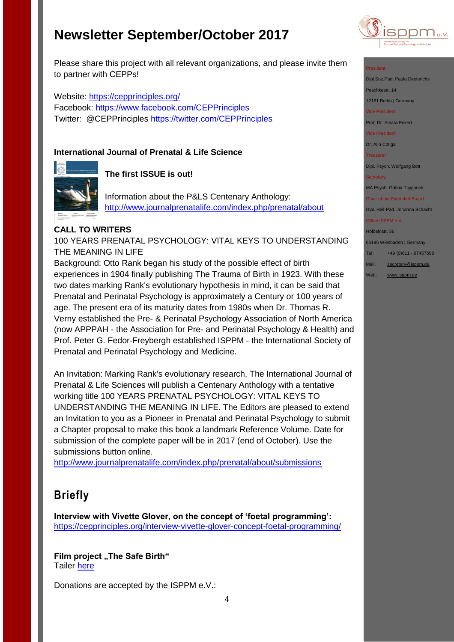

Please share this project with all relevant organizations, and please invite them to partner with CEPPs!

Website:<https://cepprinciples.org/> Facebook: <https://www.facebook.com/CEPPrinciples> Twitter: @CEPPrinciples<https://twitter.com/CEPPrinciples>

## **International Journal of Prenatal & Life Science**



## **The first ISSUE is out!**

Information about the P&LS Centenary Anthology: <http://www.journalprenatalife.com/index.php/prenatal/about>

### **CALL TO WRITERS**

100 YEARS PRENATAL PSYCHOLOGY: VITAL KEYS TO UNDERSTANDING THE MEANING IN LIFE

Background: Otto Rank began his study of the possible effect of birth experiences in 1904 finally publishing The Trauma of Birth in 1923. With these two dates marking Rank's evolutionary hypothesis in mind, it can be said that Prenatal and Perinatal Psychology is approximately a Century or 100 years of age. The present era of its maturity dates from 1980s when Dr. Thomas R. Verny established the Pre- & Perinatal Psychology Association of North America (now APPPAH - the Association for Pre- and Perinatal Psychology & Health) and Prof. Peter G. Fedor-Freybergh established ISPPM - the International Society of Prenatal and Perinatal Psychology and Medicine.

An Invitation: Marking Rank's evolutionary research, The International Journal of Prenatal & Life Sciences will publish a Centenary Anthology with a tentative working title 100 YEARS PRENATAL PSYCHOLOGY: VITAL KEYS TO UNDERSTANDING THE MEANING IN LIFE. The Editors are pleased to extend an Invitation to you as a Pioneer in Prenatal and Perinatal Psychology to submit a Chapter proposal to make this book a landmark Reference Volume. Date for submission of the complete paper will be in 2017 (end of October). Use the submissions button online.

<http://www.journalprenatalife.com/index.php/prenatal/about/submissions>

# **Briefly**

**Interview with Vivette Glover, on the concept of 'foetal programming':** <https://cepprinciples.org/interview-vivette-glover-concept-foetal-programming/>

### **Film project "The Safe Birth"** Tailer [here](http://die-sichere-geburt.de/)

Donations are accepted by the ISPPM e.V.:

### President

Dipl.Soz.Päd. Paula Diederichs

Peschkestr. 14

12161 Berlin | Germany Vice President

Prof. Dr. Amara Eckert

Vice President

Dr. Alin Cotiga

**Treasurer** 

Dipl. Psych. Wolfgang Bott

MA Psych. Galina Tcyganok

Chair of the Extended Board Dipl. Heil-Päd. Johanna Schacht

Office ISPPM e.V.

Holbeinstr. 56

65195 Wiesbaden | Germany

Tel: +49 (0)611 - 97457598

Mail: [secretary@isppm.de](mailto:secretary@isppm.de)

Web: [www.isppm.de](http://www.isppm.de/)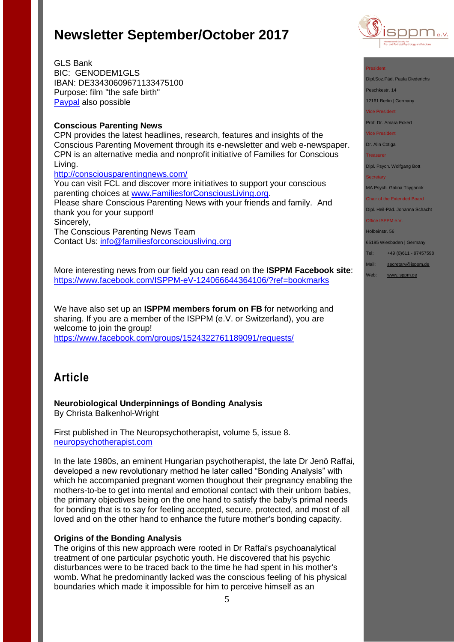

GLS Bank BIC: GENODEM1GLS IBAN: DE33430609671133475100 Purpose: film "the safe birth" [Paypal](http://www.isppm.de/en/donate/) also possible

### **Conscious Parenting News**

CPN provides the latest headlines, research, features and insights of the Conscious Parenting Movement through its e-newsletter and web e-newspaper. CPN is an alternative media and nonprofit initiative of Families for Conscious Living.

<http://consciousparentingnews.com/>

You can visit FCL and discover more initiatives to support your conscious parenting choices at [www.FamiliesforConsciousLiving.org.](http://www.familiesforconsciousliving.org/) Please share Conscious Parenting News with your friends and family. And thank you for your support! Sincerely, The Conscious Parenting News Team Contact Us: [info@familiesforconsciousliving.org](mailto:info@familiesforconsciousliving.org)

More interesting news from our field you can read on the **ISPPM Facebook site**: <https://www.facebook.com/ISPPM-eV-124066644364106/?ref=bookmarks>

We have also set up an **ISPPM members forum on FB** for networking and sharing. If you are a member of the ISPPM (e.V. or Switzerland), you are welcome to join the group! <https://www.facebook.com/groups/1524322761189091/requests/>

# **Article**

**Neurobiological Underpinnings of Bonding Analysis** By Christa Balkenhol-Wright

First published in The Neuropsychotherapist, volume 5, issue 8. [neuropsychotherapist.com](http://neuropsychotherapist.com/)

In the late 1980s, an eminent Hungarian psychotherapist, the late Dr Jenö Raffai, developed a new revolutionary method he later called "Bonding Analysis" with which he accompanied pregnant women thoughout their pregnancy enabling the mothers-to-be to get into mental and emotional contact with their unborn babies, the primary objectives being on the one hand to satisfy the baby's primal needs for bonding that is to say for feeling accepted, secure, protected, and most of all loved and on the other hand to enhance the future mother's bonding capacity.

### **Origins of the Bonding Analysis**

The origins of this new approach were rooted in Dr Raffai's psychoanalytical treatment of one particular psychotic youth. He discovered that his psychic disturbances were to be traced back to the time he had spent in his mother's womb. What he predominantly lacked was the conscious feeling of his physical boundaries which made it impossible for him to perceive himself as an

#### President

Dipl.Soz.Päd. Paula Diederichs

Peschkestr. 14

12161 Berlin | Germany

Vice President

Prof. Dr. Amara Eckert

Vice President

Dr. Alin Cotiga

Treasurer

Dipl. Psych. Wolfgang Bott

**Secretary** 

MA Psych. Galina Tcyganok

Chair of the Extended Board

Dipl. Heil-Päd. Johanna Schacht Office ISPPM e.V.

Holbeinstr. 56

65195 Wiesbaden | Germany

Tel: +49 (0)611 - 97457598 Mail: [secretary@isppm.de](mailto:secretary@isppm.de)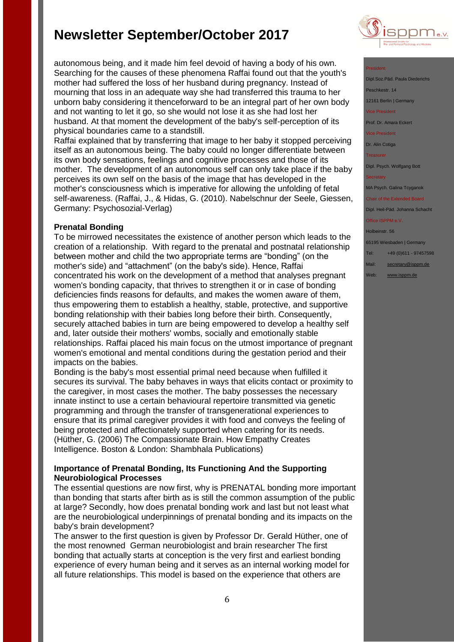autonomous being, and it made him feel devoid of having a body of his own. Searching for the causes of these phenomena Raffai found out that the youth's mother had suffered the loss of her husband during pregnancy. Instead of mourning that loss in an adequate way she had transferred this trauma to her unborn baby considering it thenceforward to be an integral part of her own body and not wanting to let it go, so she would not lose it as she had lost her husband. At that moment the development of the baby's self-perception of its physical boundaries came to a standstill.

Raffai explained that by transferring that image to her baby it stopped perceiving itself as an autonomous being. The baby could no longer differentiate between its own body sensations, feelings and cognitive processes and those of its mother. The development of an autonomous self can only take place if the baby perceives its own self on the basis of the image that has developed in the mother's consciousness which is imperative for allowing the unfolding of fetal self-awareness. (Raffai, J., & Hidas, G. (2010). Nabelschnur der Seele, Giessen, Germany: Psychosozial-Verlag)

### **Prenatal Bonding**

To be mirrowed necessitates the existence of another person which leads to the creation of a relationship. With regard to the prenatal and postnatal relationship between mother and child the two appropriate terms are "bonding" (on the mother's side) and "attachment" (on the baby's side). Hence, Raffai concentrated his work on the development of a method that analyses pregnant women's bonding capacity, that thrives to strengthen it or in case of bonding deficiencies finds reasons for defaults, and makes the women aware of them, thus empowering them to establish a healthy, stable, protective, and supportive bonding relationship with their babies long before their birth. Consequently, securely attached babies in turn are being empowered to develop a healthy self and, later outside their mothers' wombs, socially and emotionally stable relationships. Raffai placed his main focus on the utmost importance of pregnant women's emotional and mental conditions during the gestation period and their impacts on the babies.

Bonding is the baby's most essential primal need because when fulfilled it secures its survival. The baby behaves in ways that elicits contact or proximity to the caregiver, in most cases the mother. The baby possesses the necessary innate instinct to use a certain behavioural repertoire transmitted via genetic programming and through the transfer of transgenerational experiences to ensure that its primal caregiver provides it with food and conveys the feeling of being protected and affectionately supported when catering for its needs. (Hüther, G. (2006) The Compassionate Brain. How Empathy Creates Intelligence. Boston & London: Shambhala Publications)

### **Importance of Prenatal Bonding, Its Functioning And the Supporting Neurobiological Processes**

The essential questions are now first, why is PRENATAL bonding more important than bonding that starts after birth as is still the common assumption of the public at large? Secondly, how does prenatal bonding work and last but not least what are the neurobiological underpinnings of prenatal bonding and its impacts on the baby's brain development?

The answer to the first question is given by Professor Dr. Gerald Hüther, one of the most renowned German neurobiologist and brain researcher The first bonding that actually starts at conception is the very first and earliest bonding experience of every human being and it serves as an internal working model for all future relationships. This model is based on the experience that others are



### President

Dipl.Soz.Päd. Paula Diede eschkestr. 14 12161 Berlin | Germany vice President<br>Tice President

Prof. Dr. Amara Eckert

Vice President

Dr. Alin Cotiga

Treasurer

Dipl. Psych. Wolfgang Bott

MA Psych. Galina Tcyganok

Chair of the Extended Board Dipl. Heil-Päd. Johanna Schacht

Office ISPPM e.V

Holbeinstr. 56

65195 Wiesbaden | Germany

- Tel: +49 (0)611 97457598
- Mail: [secretary@isppm.de](mailto:secretary@isppm.de)
- Web: [www.isppm.de](http://www.isppm.de/)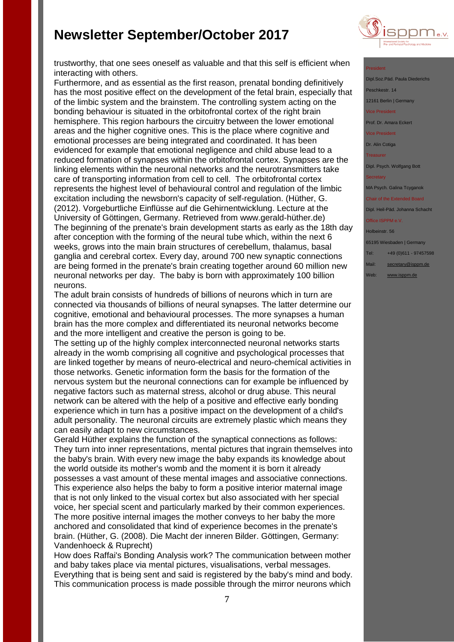

trustworthy, that one sees oneself as valuable and that this self is efficient when interacting with others.

Furthermore, and as essential as the first reason, prenatal bonding definitively has the most positive effect on the development of the fetal brain, especially that of the limbic system and the brainstem. The controlling system acting on the bonding behaviour is situated in the orbitofrontal cortex of the right brain hemisphere. This region harbours the circuitry between the lower emotional areas and the higher cognitive ones. This is the place where cognitive and emotional processes are being integrated and coordinated. It has been evidenced for example that emotional negligence and child abuse lead to a reduced formation of synapses within the orbitofrontal cortex. Synapses are the linking elements within the neuronal networks and the neurotransmitters take care of transporting information from cell to cell. The orbitofrontal cortex represents the highest level of behavioural control and regulation of the limbic excitation including the newsborn's capacity of self-regulation. (Hüther, G. (2012). Vorgeburtliche Einflüsse auf die Gehirnentwicklung. Lecture at the University of Göttingen, Germany. Retrieved from www.gerald-hüther.de) The beginning of the prenate's brain development starts as early as the 18th day after conception with the forming of the neural tube which, within the next 6 weeks, grows into the main brain structures of cerebellum, thalamus, basal ganglia and cerebral cortex. Every day, around 700 new synaptic connections are being formed in the prenate's brain creating together around 60 million new neuronal networks per day. The baby is born with approximately 100 billion neurons.

The adult brain consists of hundreds of billions of neurons which in turn are connected via thousands of billions of neural synapses. The latter determine our cognitive, emotional and behavioural processes. The more synapses a human brain has the more complex and differentiated its neuronal networks become and the more intelligent and creative the person is going to be.

The setting up of the highly complex interconnected neuronal networks starts already in the womb comprising all cognitive and psychological processes that are linked together by means of neuro-electrical and neuro-chemícal activities in those networks. Genetic information form the basis for the formation of the nervous system but the neuronal connections can for example be influenced by negative factors such as maternal stress, alcohol or drug abuse. This neural network can be altered with the help of a positive and effective early bonding experience which in turn has a positive impact on the development of a child's adult personality. The neuronal circuits are extremely plastic which means they can easily adapt to new circumstances.

Gerald Hüther explains the function of the synaptical connections as follows: They turn into inner representations, mental pictures that ingrain themselves into the baby's brain. With every new image the baby expands its knowledge about the world outside its mother's womb and the moment it is born it already possesses a vast amount of these mental images and associative connections. This experience also helps the baby to form a positive interior maternal image that is not only linked to the visual cortex but also associated with her special voice, her special scent and particularly marked by their common experiences. The more positive internal images the mother conveys to her baby the more anchored and consolidated that kind of experience becomes in the prenate's brain. (Hüther, G. (2008). Die Macht der inneren Bilder. Göttingen, Germany: Vandenhoeck & Ruprecht)

How does Raffai's Bonding Analysis work? The communication between mother and baby takes place via mental pictures, visualisations, verbal messages. Everything that is being sent and said is registered by the baby's mind and body. This communication process is made possible through the mirror neurons which

#### President

Dipl.Soz.Päd. Paula Dieder Peschkestr. 14 12161 Berlin | Germany

vice President

Prof. Dr. Amara Eckert

Vice President

Dr. Alin Cotiga

Treasurer

Dipl. Psych. Wolfgang Bott

MA Psych. Galina Tcyganok

Chair of the Extended Board Dipl. Heil-Päd. Johanna Schacht

Office ISPPM e.V.

Holbeinstr. 56

65195 Wiesbaden | Germany

Tel: +49 (0)611 - 97457598

Mail: [secretary@isppm.de](mailto:secretary@isppm.de)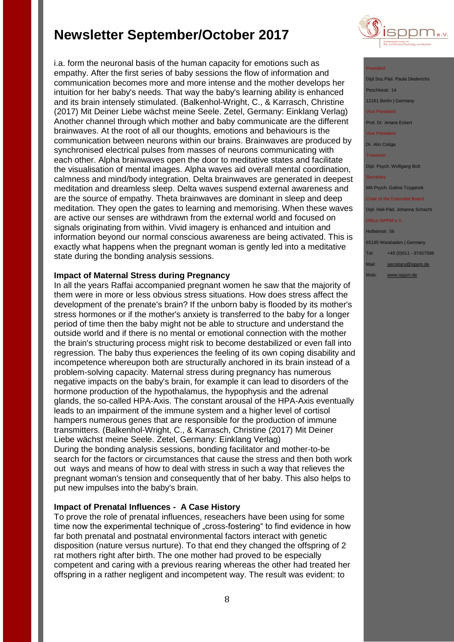i.a. form the neuronal basis of the human capacity for emotions such as empathy. After the first series of baby sessions the flow of information and communication becomes more and more intense and the mother develops her intuition for her baby's needs. That way the baby's learning ability is enhanced and its brain intensely stimulated. (Balkenhol-Wright, C., & Karrasch, Christine (2017) Mit Deiner Liebe wächst meine Seele. Zetel, Germany: Einklang Verlag) Another channel through which mother and baby communicate are the different brainwaves. At the root of all our thoughts, emotions and behaviours is the communication between neurons within our brains. Brainwaves are produced by synchronised electrical pulses from masses of neurons communicating with each other. Alpha brainwaves open the door to meditative states and facilitate the visualisation of mental images. Alpha waves aid overall mental coordination, calmness and mind/body integration. Delta brainwaves are generated in deepest meditation and dreamless sleep. Delta waves suspend external awareness and are the source of empathy. Theta brainwaves are dominant in sleep and deep meditation. They open the gates to learning and memorising. When these waves are active our senses are withdrawn from the external world and focused on signals originating from within. Vivid imagery is enhanced and intuition and information beyond our normal conscious awareness are being activated. This is exactly what happens when the pregnant woman is gently led into a meditative state during the bonding analysis sessions.

### **Impact of Maternal Stress during Pregnancy**

In all the years Raffai accompanied pregnant women he saw that the majority of them were in more or less obvious stress situations. How does stress affect the development of the prenate's brain? If the unborn baby is flooded by its mother's stress hormones or if the mother's anxiety is transferred to the baby for a longer period of time then the baby might not be able to structure and understand the outside world and if there is no mental or emotional connection with the mother the brain's structuring process might risk to become destabilized or even fall into regression. The baby thus experiences the feeling of its own coping disability and incompetence whereupon both are structurally anchored in its brain instead of a problem-solving capacity. Maternal stress during pregnancy has numerous negative impacts on the baby's brain, for example it can lead to disorders of the hormone production of the hypothalamus, the hypophysis and the adrenal glands, the so-called HPA-Axis. The constant arousal of the HPA-Axis eventually leads to an impairment of the immune system and a higher level of cortisol hampers numerous genes that are responsible for the production of immune transmitters. (Balkenhol-Wright, C., & Karrasch, Christine (2017) Mit Deiner Liebe wächst meine Seele. Zetel, Germany: Einklang Verlag) During the bonding analysis sessions, bonding facilitator and mother-to-be search for the factors or circumstances that cause the stress and then both work out ways and means of how to deal with stress in such a way that relieves the pregnant woman's tension and consequently that of her baby. This also helps to put new impulses into the baby's brain.

### **Impact of Prenatal Influences - A Case History**

To prove the role of prenatal influences, reseachers have been using for some time now the experimental technique of "cross-fostering" to find evidence in how far both prenatal and postnatal environmental factors interact with genetic disposition (nature versus nurture). To that end they changed the offspring of 2 rat mothers right after birth. The one mother had proved to be especially competent and caring with a previous rearing whereas the other had treated her offspring in a rather negligent and incompetent way. The result was evident: to



#### President

Dipl.Soz.Päd. Paula Diederich eschkestr. 14 12161 Berlin | Germany vice President

Prof. Dr. Amara Eckert

Vice President

Dr. Alin Cotiga

Treasurer

Dipl. Psych. Wolfgang Bott

MA Psych. Galina Tcyganok

Chair of the Extended Board Dipl. Heil-Päd. Johanna Schacht

Office ISPPM e.V.

Holbeinstr. 56

65195 Wiesbaden | Germany

- Tel: +49 (0)611 97457598
- Mail: [secretary@isppm.de](mailto:secretary@isppm.de)
- Web: [www.isppm.de](http://www.isppm.de/)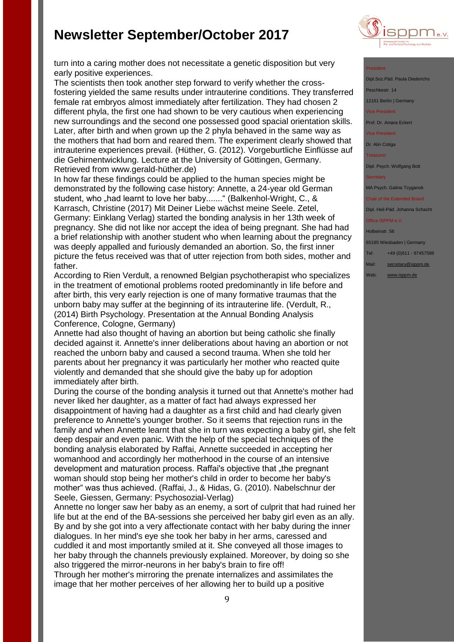

#### President

Dipl.Soz.Päd. Paula Diederio Peschkestr. 14 12161 Berlin | Germany vice President Prof. Dr. Amara Eckert Vice President Dr. Alin Cotiga Treasurer Dipl. Psych. Wolfgang Bott **Secretary** MA Psych. Galina Tcyganok

Chair of the Extended Board Dipl. Heil-Päd. Johanna Schacht

#### Office ISPPM e.V.

Holbeinstr. 56

65195 Wiesbaden | Germany

- Tel: +49 (0)611 97457598
- Mail: [secretary@isppm.de](mailto:secretary@isppm.de)
- Web: [www.isppm.de](http://www.isppm.de/)

turn into a caring mother does not necessitate a genetic disposition but very early positive experiences.

The scientists then took another step forward to verify whether the crossfostering yielded the same results under intrauterine conditions. They transferred female rat embryos almost immediately after fertilization. They had chosen 2 different phyla, the first one had shown to be very cautious when experiencing new surroundings and the second one possessed good spacial orientation skills. Later, after birth and when grown up the 2 phyla behaved in the same way as the mothers that had born and reared them. The experiment clearly showed that intrauterine experiences prevail. (Hüther, G. (2012). Vorgeburtliche Einflüsse auf die Gehirnentwicklung. Lecture at the University of Göttingen, Germany. Retrieved from www.gerald-hüther.de)

In how far these findings could be applied to the human species might be demonstrated by the following case history: Annette, a 24-year old German student, who "had learnt to love her baby......." (Balkenhol-Wright, C., & Karrasch, Christine (2017) Mit Deiner Liebe wächst meine Seele. Zetel, Germany: Einklang Verlag) started the bonding analysis in her 13th week of pregnancy. She did not like nor accept the idea of being pregnant. She had had a brief relationship with another student who when learning about the pregnancy was deeply appalled and furiously demanded an abortion. So, the first inner picture the fetus received was that of utter rejection from both sides, mother and father.

According to Rien Verdult, a renowned Belgian psychotherapist who specializes in the treatment of emotional problems rooted predominantly in life before and after birth, this very early rejection is one of many formative traumas that the unborn baby may suffer at the beginning of its intrauterine life. (Verdult, R., (2014) Birth Psychology. Presentation at the Annual Bonding Analysis Conference, Cologne, Germany)

Annette had also thought of having an abortion but being catholic she finally decided against it. Annette's inner deliberations about having an abortion or not reached the unborn baby and caused a second trauma. When she told her parents about her pregnancy it was particularly her mother who reacted quite violently and demanded that she should give the baby up for adoption immediately after birth.

During the course of the bonding analysis it turned out that Annette's mother had never liked her daughter, as a matter of fact had always expressed her disappointment of having had a daughter as a first child and had clearly given preference to Annette's younger brother. So it seems that rejection runs in the family and when Annette learnt that she in turn was expecting a baby girl, she felt deep despair and even panic. With the help of the special techniques of the bonding analysis elaborated by Raffai, Annette succeeded in accepting her womanhood and accordingly her motherhood in the course of an intensive development and maturation process. Raffai's objective that "the pregnant" woman should stop being her mother's child in order to become her baby's mother" was thus achieved. (Raffai, J., & Hidas, G. (2010). Nabelschnur der Seele, Giessen, Germany: Psychosozial-Verlag)

Annette no longer saw her baby as an enemy, a sort of culprit that had ruined her life but at the end of the BA-sessions she perceived her baby girl even as an ally. By and by she got into a very affectionate contact with her baby during the inner dialogues. In her mind's eye she took her baby in her arms, caressed and cuddled it and most importantly smiled at it. She conveyed all those images to her baby through the channels previously explained. Moreover, by doing so she also triggered the mirror-neurons in her baby's brain to fire off! Through her mother's mirroring the prenate internalizes and assimilates the image that her mother perceives of her allowing her to build up a positive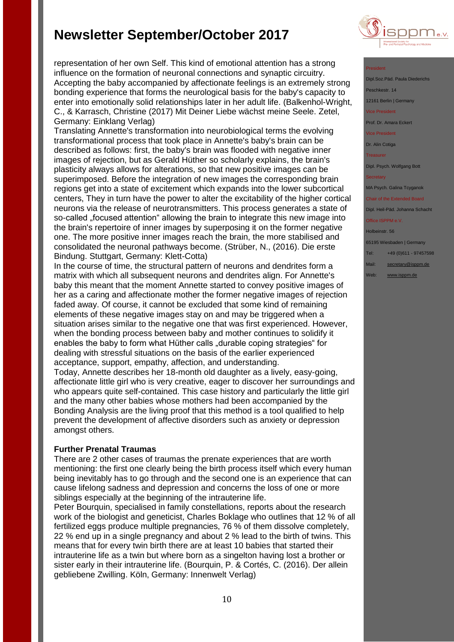

Translating Annette's transformation into neurobiological terms the evolving transformational process that took place in Annette's baby's brain can be described as follows: first, the baby's brain was flooded with negative inner images of rejection, but as Gerald Hüther so scholarly explains, the brain's plasticity always allows for alterations, so that new positive images can be superimposed. Before the integration of new images the corresponding brain regions get into a state of excitement which expands into the lower subcortical centers, They in turn have the power to alter the excitability of the higher cortical neurons via the release of neurotransmitters. This process generates a state of so-called "focused attention" allowing the brain to integrate this new image into the brain's repertoire of inner images by superposing it on the former negative one. The more positive inner images reach the brain, the more stabilised and consolidated the neuronal pathways become. (Strüber, N., (2016). Die erste Bindung. Stuttgart, Germany: Klett-Cotta)

In the course of time, the structural pattern of neurons and dendrites form a matrix with which all subsequent neurons and dendrites align. For Annette's baby this meant that the moment Annette started to convey positive images of her as a caring and affectionate mother the former negative images of rejection faded away. Of course, it cannot be excluded that some kind of remaining elements of these negative images stay on and may be triggered when a situation arises similar to the negative one that was first experienced. However, when the bonding process between baby and mother continues to solidify it enables the baby to form what Hüther calls "durable coping strategies" for dealing with stressful situations on the basis of the earlier experienced acceptance, support, empathy, affection, and understanding. Today, Annette describes her 18-month old daughter as a lively, easy-going, affectionate little girl who is very creative, eager to discover her surroundings and who appears quite self-contained. This case history and particularly the little girl and the many other babies whose mothers had been accompanied by the

Bonding Analysis are the living proof that this method is a tool qualified to help prevent the development of affective disorders such as anxiety or depression amongst others.

### **Further Prenatal Traumas**

There are 2 other cases of traumas the prenate experiences that are worth mentioning: the first one clearly being the birth process itself which every human being inevitably has to go through and the second one is an experience that can cause lifelong sadness and depression and concerns the loss of one or more siblings especially at the beginning of the intrauterine life.

Peter Bourquin, specialised in family constellations, reports about the research work of the biologist and geneticist, Charles Boklage who outlines that 12 % of all fertilized eggs produce multiple pregnancies, 76 % of them dissolve completely, 22 % end up in a single pregnancy and about 2 % lead to the birth of twins. This means that for every twin birth there are at least 10 babies that started their intrauterine life as a twin but where born as a singelton having lost a brother or sister early in their intrauterine life. (Bourquin, P. & Cortés, C. (2016). Der allein gebliebene Zwilling. Köln, Germany: Innenwelt Verlag)



#### President

Dipl.Soz.Päd. Paula Diede Peschkestr. 14 12161 Berlin | Germany

vice President<br>Tice President

Prof. Dr. Amara Eckert

Vice President

Dr. Alin Cotiga

Treasurer

Dipl. Psych. Wolfgang Bott

MA Psych. Galina Tcyganok

#### Chair of the Extended Board Dipl. Heil-Päd. Johanna Schacht

#### Office ISPPM e.V

Holbeinstr. 56

65195 Wiesbaden | Germany

Tel: +49 (0)611 - 97457598

- Mail: [secretary@isppm.de](mailto:secretary@isppm.de)
- Web: [www.isppm.de](http://www.isppm.de/)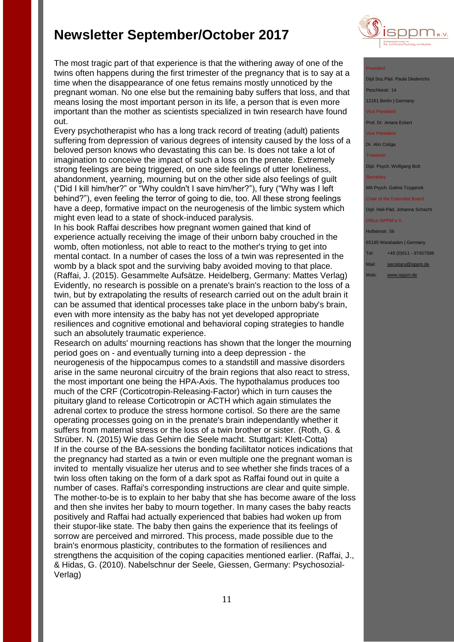

#### President

Dipl.Soz.Päd. Paula Died eschkestr. 14 12161 Berlin | Germany

vice President

Prof. Dr. Amara Eckert

Vice President

Dr. Alin Cotiga

Treasurer

Dipl. Psych. Wolfgang Bott

MA Psych. Galina Tcyganok

Chair of the Extended Board

Dipl. Heil-Päd. Johanna Schacht Office ISPPM e.V

Holbeinstr. 56

65195 Wiesbaden | Germany

Tel: +49 (0)611 - 97457598

Mail: [secretary@isppm.de](mailto:secretary@isppm.de)

Web: [www.isppm.de](http://www.isppm.de/)

The most tragic part of that experience is that the withering away of one of the twins often happens during the first trimester of the pregnancy that is to say at a time when the disappearance of one fetus remains mostly unnoticed by the pregnant woman. No one else but the remaining baby suffers that loss, and that means losing the most important person in its life, a person that is even more important than the mother as scientists specialized in twin research have found out.

Every psychotherapist who has a long track record of treating (adult) patients suffering from depression of various degrees of intensity caused by the loss of a beloved person knows who devastating this can be. Is does not take a lot of imagination to conceive the impact of such a loss on the prenate. Extremely strong feelings are being triggered, on one side feelings of utter loneliness, abandonment, yearning, mourning but on the other side also feelings of guilt ("Did I kill him/her?" or "Why couldn't I save him/her?"), fury ("Why was I left behind?"), even feeling the terror of going to die, too. All these strong feelings have a deep, formative impact on the neurogenesis of the limbic system which might even lead to a state of shock-induced paralysis.

In his book Raffai describes how pregnant women gained that kind of experience actually receiving the image of their unborn baby crouched in the womb, often motionless, not able to react to the mother's trying to get into mental contact. In a number of cases the loss of a twin was represented in the womb by a black spot and the surviving baby avoided moving to that place. (Raffai, J. (2015). Gesammelte Aufsätze. Heidelberg, Germany: Mattes Verlag) Evidently, no research is possible on a prenate's brain's reaction to the loss of a twin, but by extrapolating the results of research carried out on the adult brain it can be assumed that identical processes take place in the unborn baby's brain, even with more intensity as the baby has not yet developed appropriate resiliences and cognitive emotional and behavioral coping strategies to handle such an absolutely traumatic experience.

Research on adults' mourning reactions has shown that the longer the mourning period goes on - and eventually turning into a deep depression - the neurogenesis of the hippocampus comes to a standstill and massive disorders arise in the same neuronal circuitry of the brain regions that also react to stress, the most important one being the HPA-Axis. The hypothalamus produces too much of the CRF (Corticotropin-Releasing-Factor) which in turn causes the pituitary gland to release Corticotropin or ACTH which again stimulates the adrenal cortex to produce the stress hormone cortisol. So there are the same operating processes going on in the prenate's brain independantly whether it suffers from maternal stress or the loss of a twin brother or sister. (Roth, G. & Strüber. N. (2015) Wie das Gehirn die Seele macht. Stuttgart: Klett-Cotta) If in the course of the BA-sessions the bonding facililtator notices indications that the pregnancy had started as a twin or even multiple one the pregnant woman is invited to mentally visualize her uterus and to see whether she finds traces of a twin loss often taking on the form of a dark spot as Raffai found out in quite a number of cases. Raffai's corresponding instructions are clear and quite simple. The mother-to-be is to explain to her baby that she has become aware of the loss and then she invites her baby to mourn together. In many cases the baby reacts positively and Raffai had actually experienced that babies had woken up from their stupor-like state. The baby then gains the experience that its feelings of sorrow are perceived and mirrored. This process, made possible due to the brain's enormous plasticity, contributes to the formation of resiliences and strengthens the acquisition of the coping capacities mentioned earlier. (Raffai, J., & Hidas, G. (2010). Nabelschnur der Seele, Giessen, Germany: Psychosozial-Verlag)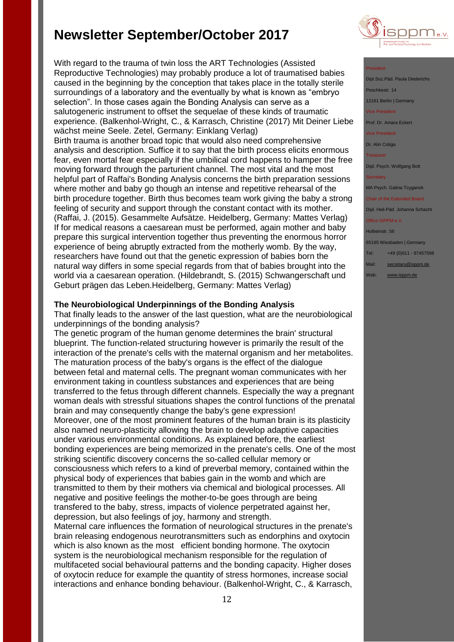With regard to the trauma of twin loss the ART Technologies (Assisted Reproductive Technologies) may probably produce a lot of traumatised babies caused in the beginning by the conception that takes place in the totally sterile surroundings of a laboratory and the eventually by what is known as "embryo selection". In those cases again the Bonding Analysis can serve as a salutogeneric instrument to offset the sequelae of these kinds of traumatic experience. (Balkenhol-Wright, C., & Karrasch, Christine (2017) Mit Deiner Liebe wächst meine Seele. Zetel, Germany: Einklang Verlag) Birth trauma is another broad topic that would also need comprehensive analysis and description. Suffice it to say that the birth process elicits enormous fear, even mortal fear especially if the umbilical cord happens to hamper the free moving forward through the parturient channel. The most vital and the most helpful part of Raffai's Bonding Analysis concerns the birth preparation sessions where mother and baby go though an intense and repetitive rehearsal of the birth procedure together. Birth thus becomes team work giving the baby a strong feeling of security and support through the constant contact with its mother. (Raffai, J. (2015). Gesammelte Aufsätze. Heidelberg, Germany: Mattes Verlag) If for medical reasons a caesarean must be performed, again mother and baby prepare this surgical intervention together thus preventing the enormous horror experience of being abruptly extracted from the motherly womb. By the way, researchers have found out that the genetic expression of babies born the natural way differs in some special regards from that of babies brought into the world via a caesarean operation. (Hildebrandt, S. (2015) Schwangerschaft und Geburt prägen das Leben.Heidelberg, Germany: Mattes Verlag)

### **The Neurobiological Underpinnings of the Bonding Analysis**

That finally leads to the answer of the last question, what are the neurobiological underpinnings of the bonding analysis?

The genetic program of the human genome determines the brain' structural blueprint. The function-related structuring however is primarily the result of the interaction of the prenate's cells with the maternal organism and her metabolites. The maturation process of the baby's organs is the effect of the dialogue between fetal and maternal cells. The pregnant woman communicates with her environment taking in countless substances and experiences that are being transferred to the fetus through different channels. Especially the way a pregnant woman deals with stressful situations shapes the control functions of the prenatal brain and may consequently change the baby's gene expression! Moreover, one of the most prominent features of the human brain is its plasticity also named neuro-plasticity allowing the brain to develop adaptive capacities under various environmental conditions. As explained before, the earliest bonding experiences are being memorized in the prenate's cells. One of the most striking scientific discovery concerns the so-called cellular memory or consciousness which refers to a kind of preverbal memory, contained within the physical body of experiences that babies gain in the womb and which are transmitted to them by their mothers via chemical and biological processes. All negative and positive feelings the mother-to-be goes through are being transfered to the baby, stress, impacts of violence perpetrated against her, depression, but also feelings of joy, harmony and strength.

Maternal care influences the formation of neurological structures in the prenate's brain releasing endogenous neurotransmitters such as endorphins and oxytocin which is also known as the most efficient bonding hormone. The oxytocin system is the neurobiological mechanism responsible for the regulation of multifaceted social behavioural patterns and the bonding capacity. Higher doses of oxytocin reduce for example the quantity of stress hormones, increase social interactions and enhance bonding behaviour. (Balkenhol-Wright, C., & Karrasch,



### President

Dipl.Soz.Päd. Paula Died Peschkestr. 14 12161 Berlin | Germany vice President

Prof. Dr. Amara Eckert

Vice President

Dr. Alin Cotiga

Treasurer

Dipl. Psych. Wolfgang Bott

MA Psych. Galina Tcyganok

Chair of the Extended Board Dipl. Heil-Päd. Johanna Schacht

Office ISPPM e.V.

Holbeinstr. 56

65195 Wiesbaden | Germany

Tel: +49 (0)611 - 97457598

Mail: [secretary@isppm.de](mailto:secretary@isppm.de)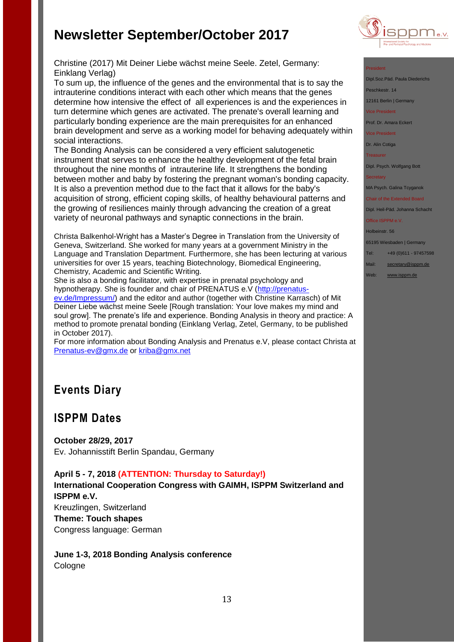

### President

Dipl.Soz.Päd. Paula Diederichs Peschkestr. 14

12161 Berlin | Germany

vice President

Prof. Dr. Amara Eckert

Vice President

Dr. Alin Cotiga

**Treasurer** 

Dipl. Psych. Wolfgang Bott

MA Psych. Galina Tcyganok

Chair of the Extended Board Dipl. Heil-Päd. Johanna Schacht

Office ISPPM e.V.

Holbeinstr. 56

65195 Wiesbaden | Germany

Tel: +49 (0)611 - 97457598

Mail: [secretary@isppm.de](mailto:secretary@isppm.de)

Web: [www.isppm.de](http://www.isppm.de/)

Christine (2017) Mit Deiner Liebe wächst meine Seele. Zetel, Germany: Einklang Verlag)

To sum up, the influence of the genes and the environmental that is to say the intrauterine conditions interact with each other which means that the genes determine how intensive the effect of all experiences is and the experiences in turn determine which genes are activated. The prenate's overall learning and particularly bonding experience are the main prerequisites for an enhanced brain development and serve as a working model for behaving adequately within social interactions.

The Bonding Analysis can be considered a very efficient salutogenetic instrument that serves to enhance the healthy development of the fetal brain throughout the nine months of intrauterine life. It strengthens the bonding between mother and baby by fostering the pregnant woman's bonding capacity. It is also a prevention method due to the fact that it allows for the baby's acquisition of strong, efficient coping skills, of healthy behavioural patterns and the growing of resiliences mainly through advancing the creation of a great variety of neuronal pathways and synaptic connections in the brain.

Christa Balkenhol-Wright has a Master's Degree in Translation from the University of Geneva, Switzerland. She worked for many years at a government Ministry in the Language and Translation Department. Furthermore, she has been lecturing at various universities for over 15 years, teaching Biotechnology, Biomedical Engineering, Chemistry, Academic and Scientific Writing.

She is also a bonding facilitator, with expertise in prenatal psychology and hypnotherapy. She is founder and chair of PRENATUS e.V [\(http://prenatus](http://prenatus-ev.de/Impressum/)[ev.de/Impressum/\)](http://prenatus-ev.de/Impressum/) and the editor and author (together with Christine Karrasch) of Mit Deiner Liebe wächst meine Seele [Rough translation: Your love makes my mind and soul grow]. The prenate's life and experience. Bonding Analysis in theory and practice: A method to promote prenatal bonding (Einklang Verlag, Zetel, Germany, to be published in October 2017).

For more information about Bonding Analysis and Prenatus e.V, please contact Christa at [Prenatus-ev@gmx.de](mailto:Prenatus-ev@gmx.de) or [kriba@gmx.net](mailto:kriba@gmx.net)

# **Events Diary**

# **ISPPM Dates**

**October 28/29, 2017** Ev. Johannisstift Berlin Spandau, Germany

### **April 5 - 7, 2018 (ATTENTION: Thursday to Saturday!)**

**International Cooperation Congress with GAIMH, ISPPM Switzerland and ISPPM e.V.**

Kreuzlingen, Switzerland **Theme: Touch shapes** Congress language: German

**June 1-3, 2018 Bonding Analysis conference** Cologne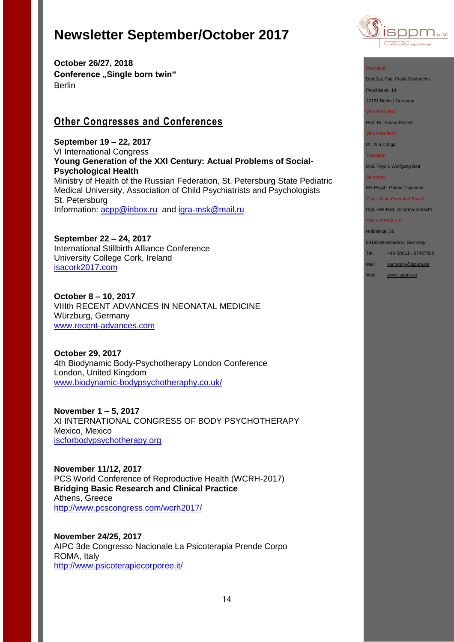**October 26/27, 2018 Conference "Single born twin"** Berlin

# **Other Congresses and Conferences**

**September 19 – 22, 2017** VI International Congress **Young Generation of the XXI Century: Actual Problems of Social-Psychological Health** Ministry of Health of the Russian Federation, St. Petersburg State Pediatric Medical University, Association of Child Psychiatrists and Psychologists St. Petersburg Information: [acpp@inbox.ru](mailto:acpp@inbox.ru) and [igra-msk@mail.ru](mailto:igra-msk@mail.ru)

**September 22 – 24, 2017** International Stillbirth Alliance Conference University College Cork, Ireland [isacork2017.com](http://stillbirthalliance.us6.list-manage.com/track/click?u=811549f73d7f344e10a813f47&id=ca40d537d4&e=19741be71a)

**October 8 – 10, 2017** VIIIth RECENT ADVANCES IN NEONATAL MEDICINE Würzburg, Germany [www.recent-advances.com](http://www.recent-advances.com/)

**October 29, 2017** 4th Biodynamic Body-Psychotherapy London Conference London, United Kingdom [www.biodynamic-bodypsychotheraphy.co.uk/](http://www.biodynamic-bodypsychotheraphy.co.uk/)

**November 1 – 5, 2017** XI INTERNATIONAL CONGRESS OF BODY PSYCHOTHERAPY Mexico, Mexico [iscforbodypsychotherapy.org](http://iscforbodypsychotherapy.org/)

**November 11/12, 2017**  PCS World Conference of Reproductive Health (WCRH-2017) **Bridging Basic Research and Clinical Practice** Athens, Greece <http://www.pcscongress.com/wcrh2017/>

**November 24/25, 2017** AIPC 3de Congresso Nacionale La Psicoterapia Prende Corpo ROMA, Italy <http://www.psicoterapiecorporee.it/>



#### President

Dipl.Soz.Päd. Paula Diederichs

Peschkestr. 14

12161 Berlin | Germany

Vice President

Prof. Dr. Amara Eckert

Vice President

Dr. Alin Cotiga

**Treasurer** 

Dipl. Psych. Wolfgang Bott

#### **Secretary**

MA Psych. Galina Tcyganok

Chair of the Extended Board Dipl. Heil-Päd. Johanna Schacht

Office ISPPM e.V.

Holbeinstr. 56

65195 Wiesbaden | Germany

Tel: +49 (0)611 - 97457598

Mail: [secretary@isppm.de](mailto:secretary@isppm.de)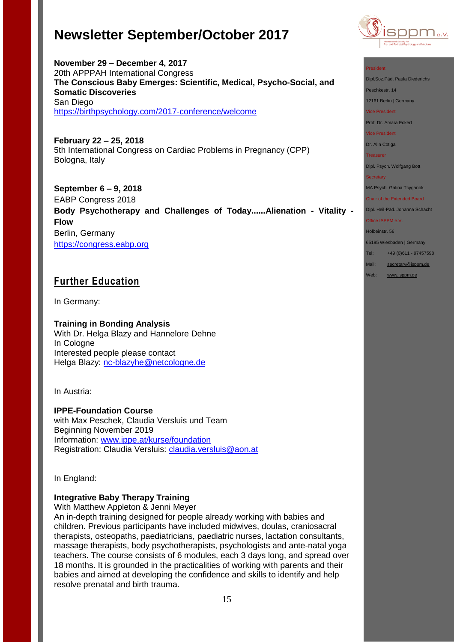**November 29 – December 4, 2017** 20th APPPAH International Congress

**Somatic Discoveries**



#### President

Dipl.Soz.Päd. Paula Diederichs

Peschkestr. 14

12161 Berlin | Germany

Vice President

Prof. Dr. Amara Eckert

Vice President

Dr. Alin Cotiga

Treasurer

Dipl. Psych. Wolfgang Bott

#### **Secretary**

MA Psych. Galina Tcyganok

Chair of the Extended Board

Dipl. Heil-Päd. Johanna Schacht

## Office ISPPM e.V.

Holbeinstr. 56 65195 Wiesbaden | Germany

Tel: +49 (0)611 - 97457598

Mail: [secretary@isppm.de](mailto:secretary@isppm.de)

Web: [www.isppm.de](http://www.isppm.de/)

San Diego <https://birthpsychology.com/2017-conference/welcome> **February 22 – 25, 2018**  5th International Congress on Cardiac Problems in Pregnancy (CPP) Bologna, Italy

**The Conscious Baby Emerges: Scientific, Medical, Psycho-Social, and** 

**September 6 – 9, 2018** EABP Congress 2018 **Body Psychotherapy and Challenges of Today......Alienation - Vitality - Flow** Berlin, Germany [https://congress.eabp.org](https://congress.eabp.org/)

# **Further Education**

In Germany:

**Training in Bonding Analysis** With Dr. Helga Blazy and Hannelore Dehne In Cologne Interested people please contact Helga Blazy: [nc-blazyhe@netcologne.de](mailto:nc-blazyhe@netcologne.de)

In Austria:

**IPPE-Foundation Course** with Max Peschek, Claudia Versluis und Team Beginning November 2019 Information: [www.ippe.at/kurse/foundation](http://www.ippe.at/kurse/foundation) Registration: Claudia Versluis: [claudia.versluis@aon.at](mailto:claudia.versluis@aon.at)

In England:

### **Integrative Baby Therapy Training**

With Matthew Appleton & Jenni Meyer

An in-depth training designed for people already working with babies and children. Previous participants have included midwives, doulas, craniosacral therapists, osteopaths, paediatricians, paediatric nurses, lactation consultants, massage therapists, body psychotherapists, psychologists and ante-natal yoga teachers. The course consists of 6 modules, each 3 days long, and spread over 18 months. It is grounded in the practicalities of working with parents and their babies and aimed at developing the confidence and skills to identify and help resolve prenatal and birth trauma.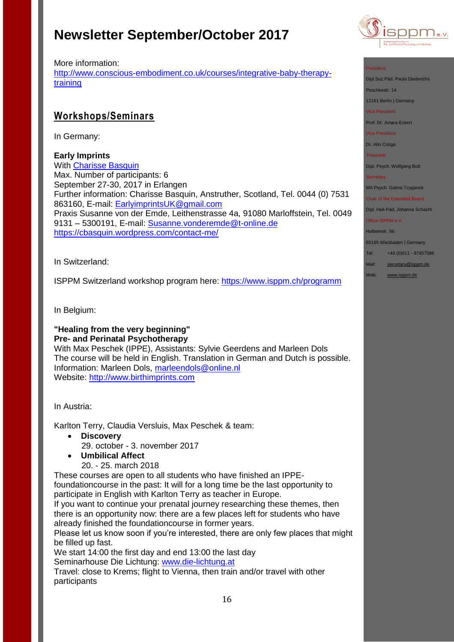

#### President

Dipl.Soz.Päd. Paula Diederichs

Peschkestr. 14

12161 Berlin | Germany

Vice President

Prof. Dr. Amara Eckert

Vice President

Dr. Alin Cotiga

Treasurer

Dipl. Psych. Wolfgang Bott

**Secretary** 

MA Psych. Galina Tcyganok

Chair of the Extended Board Dipl. Heil-Päd. Johanna Schacht

Office ISPPM e.V.

Holbeinstr. 56

65195 Wiesbaden | Germany

Tel: +49 (0)611 - 97457598

- Mail: [secretary@isppm.de](mailto:secretary@isppm.de)
- Web: [www.isppm.de](http://www.isppm.de/)

More information: [http://www.conscious-embodiment.co.uk/courses/integrative-baby-therapy](http://www.conscious-embodiment.co.uk/courses/integrative-baby-therapy-training)[training](http://www.conscious-embodiment.co.uk/courses/integrative-baby-therapy-training)

## **Workshops/Seminars**

In Germany:

**Early Imprints**

With [Charisse Basquin](https://cbasquin.wordpress.com/) Max. Number of participants: 6 September 27-30, 2017 in Erlangen Further information: Charisse Basquin, Anstruther, Scotland, Tel. 0044 (0) 7531 863160, E-mail: [EarlyimprintsUK@gmail.com](mailto:EarlyimprintsUK@gmail.com) Praxis Susanne von der Emde, Leithenstrasse 4a, 91080 Marloffstein, Tel. 0049 9131 – 5300191, E-mail: [Susanne.vonderemde@t-online.de](mailto:Susanne.vonderemde@t-online.de) <https://cbasquin.wordpress.com/contact-me/>

In Switzerland:

ISPPM Switzerland workshop program here:<https://www.isppm.ch/programm>

In Belgium:

### **"Healing from the very beginning" Pre- and Perinatal Psychotherapy**

With Max Peschek (IPPE), Assistants: Sylvie Geerdens and Marleen Dols The course will be held in English. Translation in German and Dutch is possible. Information: Marleen Dols, [marleendols@online.nl](mailto:marleendols@online.nl) Website: [http://www.birthimprints.com](http://www.birthimprints.com/)

In Austria:

Karlton Terry, Claudia Versluis, Max Peschek & team:

- **Discovery**
	- 29. october 3. november 2017
- **Umbilical Affect**
	- 20. 25. march 2018

These courses are open to all students who have finished an IPPEfoundationcourse in the past: It will for a long time be the last opportunity to participate in English with Karlton Terry as teacher in Europe.

If you want to continue your prenatal journey researching these themes, then there is an opportunity now: there are a few places left for students who have already finished the foundationcourse in former years.

Please let us know soon if you're interested, there are only few places that might be filled up fast.

We start 14:00 the first day and end 13:00 the last day Seminarhouse Die Lichtung: [www.die-lichtung.at](http://www.die-lichtung.at/)

Travel: close to Krems; flight to Vienna, then train and/or travel with other participants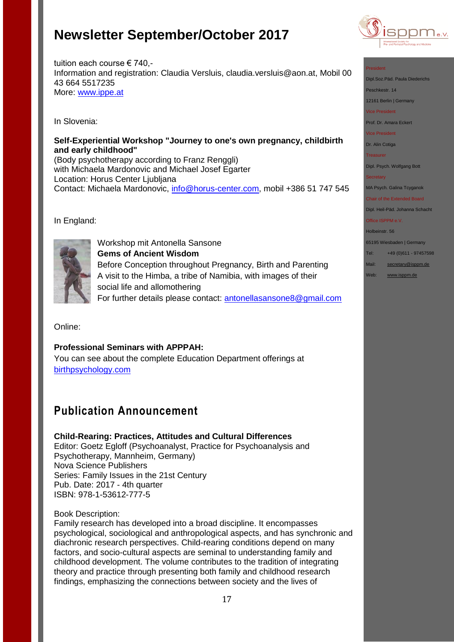

#### President

Dipl.Soz.Päd. Paula Diederich

Peschkestr. 14

12161 Berlin | Germany

Vice President

Prof. Dr. Amara Eckert

Vice President

Dr. Alin Cotiga

Treasurer

Dipl. Psych. Wolfgang Bott

**Secretary** 

MA Psych. Galina Tcyganok

Chair of the Extended Board Dipl. Heil-Päd. Johanna Schacht

Office ISPPM e.V.

Holbeinstr. 56

65195 Wiesbaden | Germany

- Tel: +49 (0)611 97457598
- Mail: [secretary@isppm.de](mailto:secretary@isppm.de) Web: [www.isppm.de](http://www.isppm.de/)

### tuition each course € 740,- Information and registration: Claudia Versluis, claudia.versluis@aon.at, Mobil 00 43 664 5517235 More: [www.ippe.at](http://www.ippe.at/)

In Slovenia:

### **Self-Experiential Workshop "Journey to one's own pregnancy, childbirth and early childhood"**

(Body psychotherapy according to Franz Renggli) with Michaela Mardonovic and Michael Josef Egarter Location: Horus Center Ljubljana Contact: Michaela Mardonovic, [info@horus-center.com,](mailto:info@horus-center.com) mobil +386 51 747 545

In England:



Workshop mit Antonella Sansone **Gems of Ancient Wisdom** Before Conception throughout Pregnancy, Birth and Parenting A visit to the Himba, a tribe of Namibia, with images of their social life and allomothering For further details please contact: [antonellasansone8@gmail.com](mailto:antonellasansone8@gmail.com) 

Online:

## **Professional Seminars with APPPAH:**

You can see about the complete Education Department offerings at [birthpsychology.com](http://birthpsychology.com/)

# **Publication Announcement**

## **Child-Rearing: Practices, Attitudes and Cultural Differences**

Editor: Goetz Egloff (Psychoanalyst, Practice for Psychoanalysis and Psychotherapy, Mannheim, Germany) Nova Science Publishers Series: Family Issues in the 21st Century Pub. Date: 2017 - 4th quarter ISBN: 978-1-53612-777-5

### Book Description:

Family research has developed into a broad discipline. It encompasses psychological, sociological and anthropological aspects, and has synchronic and diachronic research perspectives. Child-rearing conditions depend on many factors, and socio-cultural aspects are seminal to understanding family and childhood development. The volume contributes to the tradition of integrating theory and practice through presenting both family and childhood research findings, emphasizing the connections between society and the lives of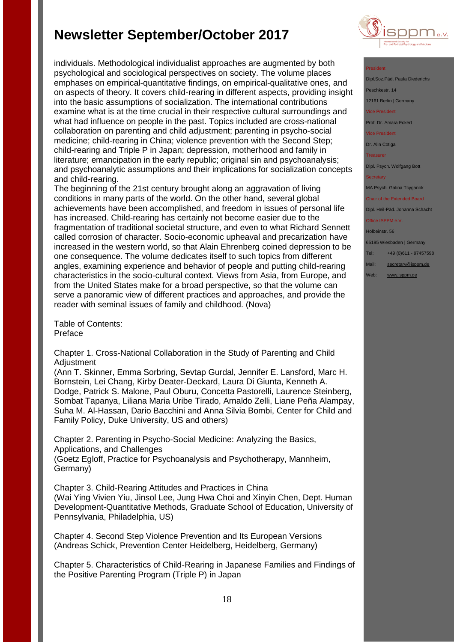individuals. Methodological individualist approaches are augmented by both psychological and sociological perspectives on society. The volume places emphases on empirical-quantitative findings, on empirical-qualitative ones, and on aspects of theory. It covers child-rearing in different aspects, providing insight into the basic assumptions of socialization. The international contributions examine what is at the time crucial in their respective cultural surroundings and what had influence on people in the past. Topics included are cross-national collaboration on parenting and child adjustment; parenting in psycho-social medicine; child-rearing in China; violence prevention with the Second Step; child-rearing and Triple P in Japan; depression, motherhood and family in literature; emancipation in the early republic; original sin and psychoanalysis; and psychoanalytic assumptions and their implications for socialization concepts and child-rearing.

The beginning of the 21st century brought along an aggravation of living conditions in many parts of the world. On the other hand, several global achievements have been accomplished, and freedom in issues of personal life has increased. Child-rearing has certainly not become easier due to the fragmentation of traditional societal structure, and even to what Richard Sennett called corrosion of character. Socio-economic upheaval and precarization have increased in the western world, so that Alain Ehrenberg coined depression to be one consequence. The volume dedicates itself to such topics from different angles, examining experience and behavior of people and putting child-rearing characteristics in the socio-cultural context. Views from Asia, from Europe, and from the United States make for a broad perspective, so that the volume can serve a panoramic view of different practices and approaches, and provide the reader with seminal issues of family and childhood. (Nova)

Table of Contents: Preface

Chapter 1. Cross-National Collaboration in the Study of Parenting and Child Adjustment

(Ann T. Skinner, Emma Sorbring, Sevtap Gurdal, Jennifer E. Lansford, Marc H. Bornstein, Lei Chang, Kirby Deater-Deckard, Laura Di Giunta, Kenneth A. Dodge, Patrick S. Malone, Paul Oburu, Concetta Pastorelli, Laurence Steinberg, Sombat Tapanya, Liliana Maria Uribe Tirado, Arnaldo Zelli, Liane Peña Alampay, Suha M. Al-Hassan, Dario Bacchini and Anna Silvia Bombi, Center for Child and Family Policy, Duke University, US and others)

Chapter 2. Parenting in Psycho-Social Medicine: Analyzing the Basics, Applications, and Challenges

(Goetz Egloff, Practice for Psychoanalysis and Psychotherapy, Mannheim, Germany)

Chapter 3. Child-Rearing Attitudes and Practices in China (Wai Ying Vivien Yiu, Jinsol Lee, Jung Hwa Choi and Xinyin Chen, Dept. Human Development-Quantitative Methods, Graduate School of Education, University of Pennsylvania, Philadelphia, US)

Chapter 4. Second Step Violence Prevention and Its European Versions (Andreas Schick, Prevention Center Heidelberg, Heidelberg, Germany)

Chapter 5. Characteristics of Child-Rearing in Japanese Families and Findings of the Positive Parenting Program (Triple P) in Japan



### President

Dipl.Soz.Päd. Paula Diederichs eschkestr. 14 12161 Berlin | Germany vice President Prof. Dr. Amara Eckert Vice President Dr. Alin Cotiga **Treasurer** Dipl. Psych. Wolfgang Bott

MA Psych. Galina Tcyganok

### Chair of the Extended Board Dipl. Heil-Päd. Johanna Schacht

Office ISPPM e.V.

Holbeinstr. 56

65195 Wiesbaden | Germany

Tel: +49 (0)611 - 97457598

Mail: [secretary@isppm.de](mailto:secretary@isppm.de)